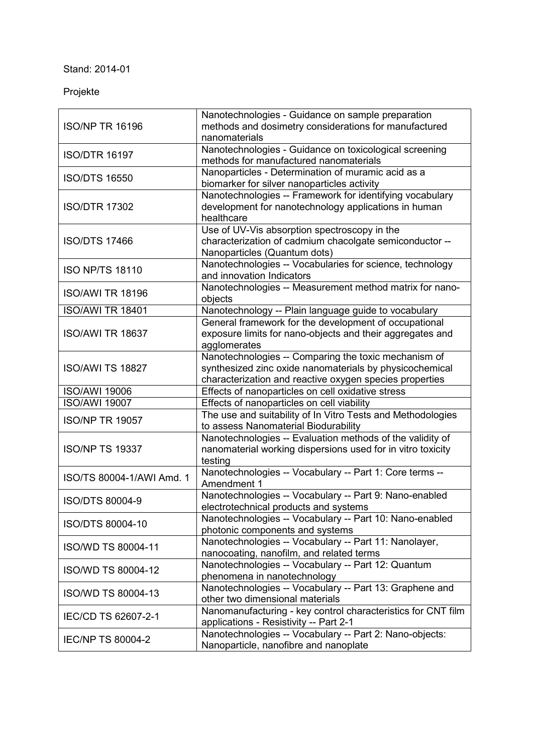## Stand: 2014-01

## Projekte

| <b>ISO/NP TR 16196</b>    | Nanotechnologies - Guidance on sample preparation                                                |
|---------------------------|--------------------------------------------------------------------------------------------------|
|                           | methods and dosimetry considerations for manufactured<br>nanomaterials                           |
|                           |                                                                                                  |
| <b>ISO/DTR 16197</b>      | Nanotechnologies - Guidance on toxicological screening<br>methods for manufactured nanomaterials |
|                           | Nanoparticles - Determination of muramic acid as a                                               |
| <b>ISO/DTS 16550</b>      | biomarker for silver nanoparticles activity                                                      |
| <b>ISO/DTR 17302</b>      | Nanotechnologies -- Framework for identifying vocabulary                                         |
|                           | development for nanotechnology applications in human                                             |
|                           | healthcare                                                                                       |
| <b>ISO/DTS 17466</b>      | Use of UV-Vis absorption spectroscopy in the                                                     |
|                           | characterization of cadmium chacolgate semiconductor --                                          |
|                           | Nanoparticles (Quantum dots)                                                                     |
| <b>ISO NP/TS 18110</b>    | Nanotechnologies -- Vocabularies for science, technology                                         |
|                           | and innovation Indicators                                                                        |
| <b>ISO/AWI TR 18196</b>   | Nanotechnologies -- Measurement method matrix for nano-                                          |
|                           | objects                                                                                          |
| <b>ISO/AWI TR 18401</b>   | Nanotechnology -- Plain language guide to vocabulary                                             |
|                           | General framework for the development of occupational                                            |
| <b>ISO/AWI TR 18637</b>   | exposure limits for nano-objects and their aggregates and                                        |
|                           | agglomerates                                                                                     |
|                           | Nanotechnologies -- Comparing the toxic mechanism of                                             |
| <b>ISO/AWI TS 18827</b>   | synthesized zinc oxide nanomaterials by physicochemical                                          |
|                           | characterization and reactive oxygen species properties                                          |
| <b>ISO/AWI 19006</b>      | Effects of nanoparticles on cell oxidative stress                                                |
| <b>ISO/AWI 19007</b>      | Effects of nanoparticles on cell viability                                                       |
| <b>ISO/NP TR 19057</b>    | The use and suitability of In Vitro Tests and Methodologies                                      |
|                           | to assess Nanomaterial Biodurability                                                             |
|                           | Nanotechnologies -- Evaluation methods of the validity of                                        |
| <b>ISO/NP TS 19337</b>    | nanomaterial working dispersions used for in vitro toxicity                                      |
|                           | testing                                                                                          |
| ISO/TS 80004-1/AWI Amd. 1 | Nanotechnologies -- Vocabulary -- Part 1: Core terms --<br>Amendment 1                           |
|                           | Nanotechnologies -- Vocabulary -- Part 9: Nano-enabled                                           |
| ISO/DTS 80004-9           | electrotechnical products and systems                                                            |
|                           | Nanotechnologies -- Vocabulary -- Part 10: Nano-enabled                                          |
| ISO/DTS 80004-10          | photonic components and systems                                                                  |
|                           | Nanotechnologies -- Vocabulary -- Part 11: Nanolayer,                                            |
| ISO/WD TS 80004-11        | nanocoating, nanofilm, and related terms                                                         |
|                           | Nanotechnologies -- Vocabulary -- Part 12: Quantum                                               |
| <b>ISO/WD TS 80004-12</b> | phenomena in nanotechnology                                                                      |
| <b>ISO/WD TS 80004-13</b> | Nanotechnologies -- Vocabulary -- Part 13: Graphene and                                          |
|                           | other two dimensional materials                                                                  |
| IEC/CD TS 62607-2-1       | Nanomanufacturing - key control characteristics for CNT film                                     |
|                           | applications - Resistivity -- Part 2-1                                                           |
|                           |                                                                                                  |
| <b>IEC/NP TS 80004-2</b>  | Nanotechnologies -- Vocabulary -- Part 2: Nano-objects:<br>Nanoparticle, nanofibre and nanoplate |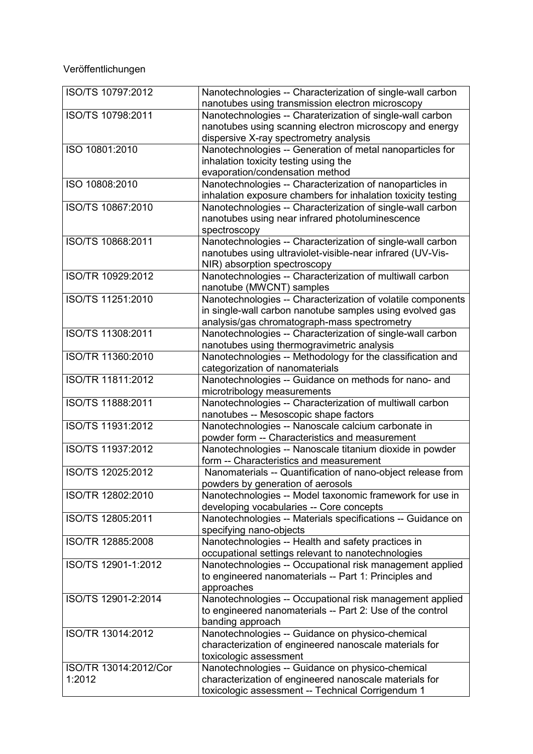## Veröffentlichungen

| ISO/TS 10797:2012     | Nanotechnologies -- Characterization of single-wall carbon<br>nanotubes using transmission electron microscopy |
|-----------------------|----------------------------------------------------------------------------------------------------------------|
| ISO/TS 10798:2011     | Nanotechnologies -- Charaterization of single-wall carbon                                                      |
|                       | nanotubes using scanning electron microscopy and energy                                                        |
|                       | dispersive X-ray spectrometry analysis                                                                         |
| ISO 10801:2010        |                                                                                                                |
|                       | Nanotechnologies -- Generation of metal nanoparticles for                                                      |
|                       | inhalation toxicity testing using the                                                                          |
|                       | evaporation/condensation method                                                                                |
| ISO 10808:2010        | Nanotechnologies -- Characterization of nanoparticles in                                                       |
|                       | inhalation exposure chambers for inhalation toxicity testing                                                   |
| ISO/TS 10867:2010     | Nanotechnologies -- Characterization of single-wall carbon                                                     |
|                       | nanotubes using near infrared photoluminescence                                                                |
|                       | spectroscopy                                                                                                   |
| ISO/TS 10868:2011     | Nanotechnologies -- Characterization of single-wall carbon                                                     |
|                       | nanotubes using ultraviolet-visible-near infrared (UV-Vis-                                                     |
|                       | NIR) absorption spectroscopy                                                                                   |
| ISO/TR 10929:2012     | Nanotechnologies -- Characterization of multiwall carbon                                                       |
|                       |                                                                                                                |
|                       | nanotube (MWCNT) samples                                                                                       |
| ISO/TS 11251:2010     | Nanotechnologies -- Characterization of volatile components                                                    |
|                       | in single-wall carbon nanotube samples using evolved gas                                                       |
|                       | analysis/gas chromatograph-mass spectrometry                                                                   |
| ISO/TS 11308:2011     | Nanotechnologies -- Characterization of single-wall carbon                                                     |
|                       | nanotubes using thermogravimetric analysis                                                                     |
| ISO/TR 11360:2010     | Nanotechnologies -- Methodology for the classification and                                                     |
|                       | categorization of nanomaterials                                                                                |
| ISO/TR 11811:2012     | Nanotechnologies -- Guidance on methods for nano- and                                                          |
|                       | microtribology measurements                                                                                    |
| ISO/TS 11888:2011     | Nanotechnologies -- Characterization of multiwall carbon                                                       |
|                       | nanotubes -- Mesoscopic shape factors                                                                          |
| ISO/TS 11931:2012     |                                                                                                                |
|                       | Nanotechnologies -- Nanoscale calcium carbonate in                                                             |
|                       | powder form -- Characteristics and measurement                                                                 |
| ISO/TS 11937:2012     | Nanotechnologies -- Nanoscale titanium dioxide in powder                                                       |
|                       | form -- Characteristics and measurement                                                                        |
| ISO/TS 12025:2012     | Nanomaterials -- Quantification of nano-object release from                                                    |
|                       | powders by generation of aerosols                                                                              |
| ISO/TR 12802:2010     | Nanotechnologies -- Model taxonomic framework for use in                                                       |
|                       | developing vocabularies -- Core concepts                                                                       |
| ISO/TS 12805:2011     | Nanotechnologies -- Materials specifications -- Guidance on                                                    |
|                       | specifying nano-objects                                                                                        |
| ISO/TR 12885:2008     | Nanotechnologies -- Health and safety practices in                                                             |
|                       | occupational settings relevant to nanotechnologies                                                             |
| ISO/TS 12901-1:2012   |                                                                                                                |
|                       | Nanotechnologies -- Occupational risk management applied                                                       |
|                       | to engineered nanomaterials -- Part 1: Principles and                                                          |
|                       | approaches                                                                                                     |
| ISO/TS 12901-2:2014   | Nanotechnologies -- Occupational risk management applied                                                       |
|                       | to engineered nanomaterials -- Part 2: Use of the control                                                      |
|                       | banding approach                                                                                               |
| ISO/TR 13014:2012     | Nanotechnologies -- Guidance on physico-chemical                                                               |
|                       | characterization of engineered nanoscale materials for                                                         |
|                       | toxicologic assessment                                                                                         |
| ISO/TR 13014:2012/Cor | Nanotechnologies -- Guidance on physico-chemical                                                               |
| 1:2012                | characterization of engineered nanoscale materials for                                                         |
|                       | toxicologic assessment -- Technical Corrigendum 1                                                              |
|                       |                                                                                                                |